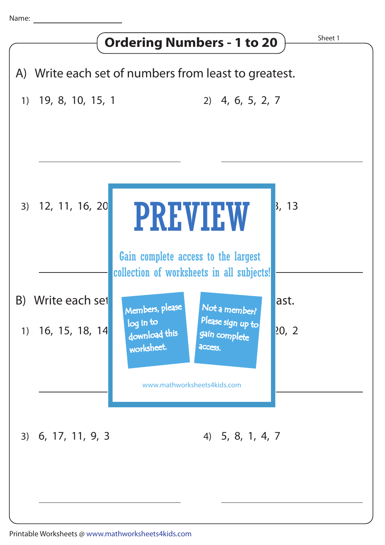